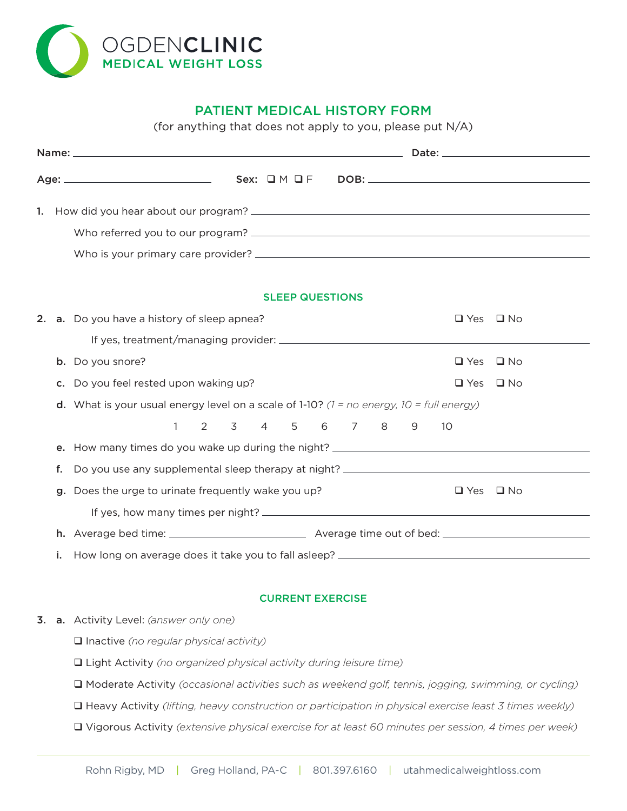

# PATIENT MEDICAL HISTORY FORM

(for anything that does not apply to you, please put N/A)

| 1. |    |                                                                                                 |                         |  |   |                      |              |
|----|----|-------------------------------------------------------------------------------------------------|-------------------------|--|---|----------------------|--------------|
|    |    |                                                                                                 |                         |  |   |                      |              |
|    |    |                                                                                                 |                         |  |   |                      |              |
|    |    |                                                                                                 |                         |  |   |                      |              |
|    |    |                                                                                                 | <b>SLEEP QUESTIONS</b>  |  |   |                      |              |
|    |    | 2. a. Do you have a history of sleep apnea?                                                     |                         |  |   | $\Box$ Yes           | $\Box$ No    |
|    |    |                                                                                                 |                         |  |   |                      |              |
|    |    | b. Do you snore?                                                                                |                         |  |   | $\Box$ Yes           | $\square$ No |
|    |    | c. Do you feel rested upon waking up?                                                           |                         |  |   | $\Box$ Yes           | $\square$ No |
|    |    | <b>d.</b> What is your usual energy level on a scale of 1-10? (1 = no energy, 10 = full energy) |                         |  |   |                      |              |
|    |    | 1                                                                                               | 2 3 4 5 6 7 8           |  | 9 | 10                   |              |
|    | е. | How many times do you wake up during the night? ________________________________                |                         |  |   |                      |              |
|    | f. |                                                                                                 |                         |  |   |                      |              |
|    |    | Does the urge to urinate frequently wake you up?                                                |                         |  |   | $\Box$ Yes $\Box$ No |              |
|    |    |                                                                                                 |                         |  |   |                      |              |
|    |    |                                                                                                 |                         |  |   |                      |              |
|    | i. |                                                                                                 |                         |  |   |                      |              |
|    |    |                                                                                                 |                         |  |   |                      |              |
|    |    |                                                                                                 | <b>CURRENT EXERCISE</b> |  |   |                      |              |

- 3. a. Activity Level: *(answer only one)*
	- q Inactive *(no regular physical activity)*
	- q Light Activity *(no organized physical activity during leisure time)*
	- q Moderate Activity *(occasional activities such as weekend golf, tennis, jogging, swimming, or cycling)*
	- q Heavy Activity *(lifting, heavy construction or participation in physical exercise least 3 times weekly)*
	- q Vigorous Activity *(extensive physical exercise for at least 60 minutes per session, 4 times per week)*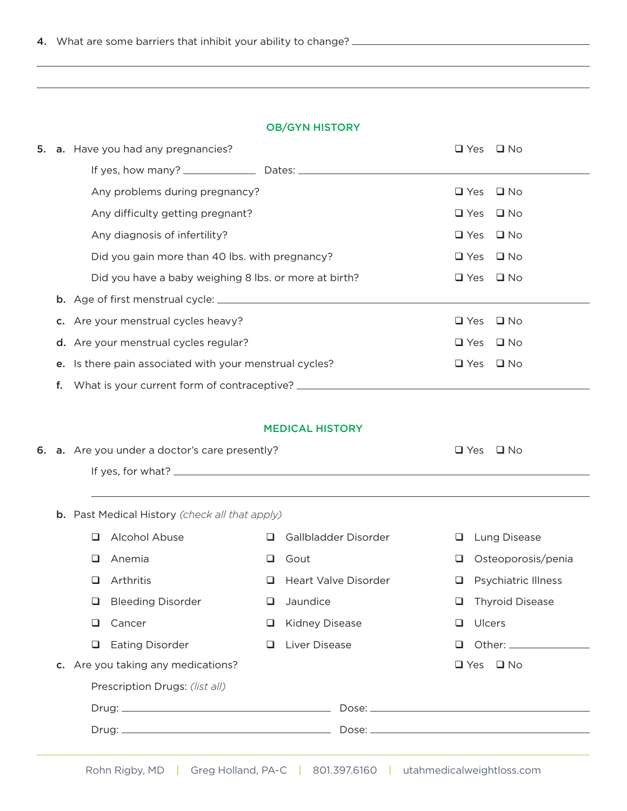## OB/GYN HISTORY

|  | 5. a. Have you had any pregnancies?                                              | $\square$ Yes        | $\square$ No |  |
|--|----------------------------------------------------------------------------------|----------------------|--------------|--|
|  |                                                                                  |                      |              |  |
|  | Any problems during pregnancy?                                                   | $\Box$ Yes $\Box$ No |              |  |
|  | Any difficulty getting pregnant?                                                 | $\Box$ Yes $\Box$ No |              |  |
|  | Any diagnosis of infertility?                                                    | $\Box$ Yes           | $\Box$ No    |  |
|  | Did you gain more than 40 lbs. with pregnancy?                                   | $\Box$ Yes $\Box$ No |              |  |
|  | Did you have a baby weighing 8 lbs. or more at birth?                            | $\Box$ Yes $\Box$ No |              |  |
|  |                                                                                  |                      |              |  |
|  | c. Are your menstrual cycles heavy?                                              | $\Box$ Yes $\Box$ No |              |  |
|  | d. Are your menstrual cycles regular?                                            | $\Box$ Yes $\Box$ No |              |  |
|  | e. Is there pain associated with your menstrual cycles?                          | $\Box$ Yes $\Box$ No |              |  |
|  | f. What is your current form of contraceptive? _________________________________ |                      |              |  |
|  |                                                                                  |                      |              |  |

### MEDICAL HISTORY

|  | 6. a. Are you under a doctor's care presently? | $\Box$ Yes $\Box$ No |  |
|--|------------------------------------------------|----------------------|--|
|  | If yes, for what? $\_$                         |                      |  |

b. Past Medical History *(check all that apply)*

| Alcohol Abuse<br>□                 | Gallbladder Disorder<br>$\Box$ | Lung Disease<br>⊔           |  |
|------------------------------------|--------------------------------|-----------------------------|--|
| Anemia<br>◻                        | Gout<br>⊔                      | Osteoporosis/penia<br>❏     |  |
| Arthritis<br>⊔                     | Heart Valve Disorder<br>□      | $\Box$ Psychiatric Illness  |  |
| <b>Bleeding Disorder</b><br>⊔      | Jaundice<br>ப                  | <b>Thyroid Disease</b><br>⊔ |  |
| Cancer<br>ப                        | <b>Kidney Disease</b><br>⊔     | Ulcers<br>◻                 |  |
| <b>Eating Disorder</b><br>◻        | Liver Disease<br>$\Box$        | ப                           |  |
| c. Are you taking any medications? |                                | $\Box$ Yes $\Box$ No        |  |
| Prescription Drugs: (list all)     |                                |                             |  |
|                                    |                                |                             |  |
|                                    |                                |                             |  |
|                                    |                                |                             |  |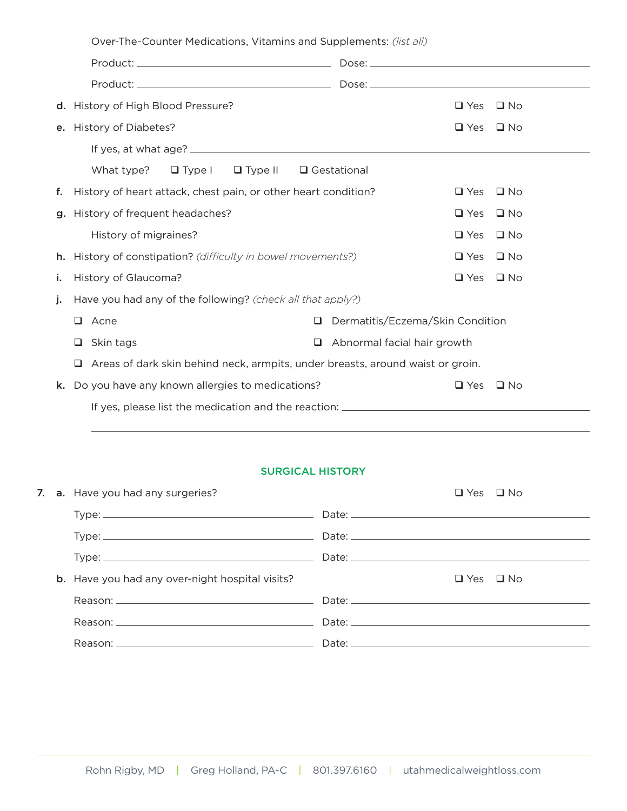| d. History of High Blood Pressure?                                   | $\Box$ Yes<br>$\Box$ No                                                               |
|----------------------------------------------------------------------|---------------------------------------------------------------------------------------|
| e. History of Diabetes?                                              | $\square$ No<br>$\Box$ Yes                                                            |
|                                                                      |                                                                                       |
| What type?<br>$\Box$ Type $\Box$ Type II                             | $\square$ Gestational                                                                 |
| History of heart attack, chest pain, or other heart condition?<br>f. | $\Box$ Yes<br>$\square$ No                                                            |
| g. History of frequent headaches?                                    | $\Box$ Yes<br>$\square$ No                                                            |
| History of migraines?                                                | $\Box$ Yes<br>$\Box$ No                                                               |
| History of constipation? (difficulty in bowel movements?)<br>h.      | $\Box$ Yes<br>$\square$ No                                                            |
| History of Glaucoma?<br>j.                                           | $\Box$ Yes<br>$\square$ No                                                            |
| Have you had any of the following? (check all that apply?)<br>j.     |                                                                                       |
| $\Box$ Acne                                                          | Dermatitis/Eczema/Skin Condition<br>$\Box$                                            |
| Skin tags<br>□                                                       | Abnormal facial hair growth<br>□                                                      |
|                                                                      | $\Box$ Areas of dark skin behind neck, armpits, under breasts, around waist or groin. |
| Do you have any known allergies to medications?<br>k.                | $\Box$ Yes<br>$\square$ No                                                            |
|                                                                      |                                                                                       |

# SURGICAL HISTORY

|  | 7. a. Have you had any surgeries?                                                                                                                                                                                              | $\Box$ Yes $\Box$ No |  |
|--|--------------------------------------------------------------------------------------------------------------------------------------------------------------------------------------------------------------------------------|----------------------|--|
|  |                                                                                                                                                                                                                                |                      |  |
|  |                                                                                                                                                                                                                                |                      |  |
|  |                                                                                                                                                                                                                                |                      |  |
|  | <b>b.</b> Have you had any over-night hospital visits?                                                                                                                                                                         | $\Box$ Yes $\Box$ No |  |
|  |                                                                                                                                                                                                                                |                      |  |
|  |                                                                                                                                                                                                                                |                      |  |
|  | Reason: The contract of the contract of the contract of the contract of the contract of the contract of the contract of the contract of the contract of the contract of the contract of the contract of the contract of the co |                      |  |
|  |                                                                                                                                                                                                                                |                      |  |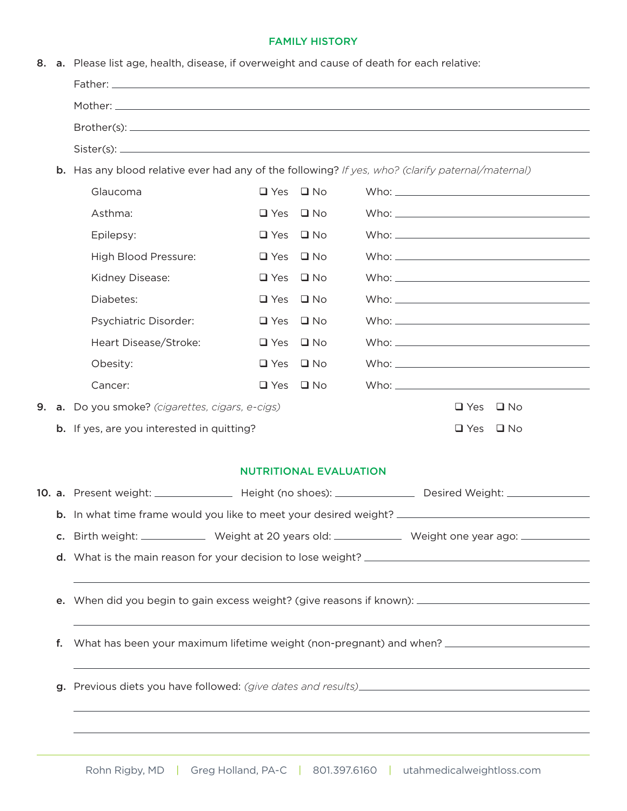### FAMILY HISTORY

|  |  |  |  |  | 8. a. Please list age, health, disease, if overweight and cause of death for each relative: |  |  |  |
|--|--|--|--|--|---------------------------------------------------------------------------------------------|--|--|--|
|--|--|--|--|--|---------------------------------------------------------------------------------------------|--|--|--|

|                      |                      | <b>b.</b> Has any blood relative ever had any of the following? If yes, who? (clarify paternal/maternal)                                                                                                                      |
|----------------------|----------------------|-------------------------------------------------------------------------------------------------------------------------------------------------------------------------------------------------------------------------------|
| Glaucoma             | $\Box$ Yes $\Box$ No | Who: which is a series of the series of the series of the series of the series of the series of the series of the series of the series of the series of the series of the series of the series of the series of the series of |
| Asthma:              | $\Box$ Yes $\Box$ No | Who: which we have a state of the state of the state of the state of the state of the state of the state of the state of the state of the state of the state of the state of the state of the state of the state of the state |
|                      | $\Box$ Yes $\Box$ No |                                                                                                                                                                                                                               |
| Epilepsy:            |                      |                                                                                                                                                                                                                               |
| High Blood Pressure: | $\Box$ Yes $\Box$ No |                                                                                                                                                                                                                               |
| Kidney Disease:      | $\Box$ Yes $\Box$ No | Who: which we have a state of the state of the state of the state of the state of the state of the state of the state of the state of the state of the state of the state of the state of the state of the state of the state |

|  | DidDeles.                                        | $\Box$ res $\Box$ INO |  |                                                                                                                                                                                                                                |                      | $VV \cap C$ . |  |  |
|--|--------------------------------------------------|-----------------------|--|--------------------------------------------------------------------------------------------------------------------------------------------------------------------------------------------------------------------------------|----------------------|---------------|--|--|
|  | <b>Psychiatric Disorder:</b>                     | $\Box$ Yes $\Box$ No  |  | Who: when the contract of the contract of the contract of the contract of the contract of the contract of the contract of the contract of the contract of the contract of the contract of the contract of the contract of the  |                      |               |  |  |
|  | Heart Disease/Stroke:                            | $\Box$ Yes $\Box$ No  |  | Who: which is a series of the series of the series of the series of the series of the series of the series of the series of the series of the series of the series of the series of the series of the series of the series of  |                      |               |  |  |
|  | Obesity:                                         | $\Box$ Yes $\Box$ No  |  | Who: which is a series of the series of the series of the series of the series of the series of the series of the series of the series of the series of the series of the series of the series of the series of the series of  |                      |               |  |  |
|  | Cancer:                                          | $\Box$ Yes $\Box$ No  |  | Who: will be a series of the series of the series of the series of the series of the series of the series of the series of the series of the series of the series of the series of the series of the series of the series of t |                      |               |  |  |
|  | 9. a. Do you smoke? (cigarettes, cigars, e-cigs) |                       |  |                                                                                                                                                                                                                                | $\Box$ Yes $\Box$ No |               |  |  |
|  | b. If yes, are you interested in quitting?       |                       |  |                                                                                                                                                                                                                                |                      |               |  |  |

## NUTRITIONAL EVALUATION

|    |  |                                                                                                           | 10. a. Present weight: __________________ Height (no shoes): __________________ Desired Weight: _____________ |  |  |  |  |  |  |
|----|--|-----------------------------------------------------------------------------------------------------------|---------------------------------------------------------------------------------------------------------------|--|--|--|--|--|--|
|    |  |                                                                                                           |                                                                                                               |  |  |  |  |  |  |
|    |  | c. Birth weight: ______________ Weight at 20 years old: ______________ Weight one year ago: _____________ |                                                                                                               |  |  |  |  |  |  |
|    |  |                                                                                                           |                                                                                                               |  |  |  |  |  |  |
|    |  |                                                                                                           |                                                                                                               |  |  |  |  |  |  |
|    |  |                                                                                                           | e. When did you begin to gain excess weight? (give reasons if known): ______________________________          |  |  |  |  |  |  |
|    |  |                                                                                                           |                                                                                                               |  |  |  |  |  |  |
| f. |  |                                                                                                           | What has been your maximum lifetime weight (non-pregnant) and when? ________________________________          |  |  |  |  |  |  |
|    |  |                                                                                                           |                                                                                                               |  |  |  |  |  |  |
|    |  |                                                                                                           |                                                                                                               |  |  |  |  |  |  |
|    |  |                                                                                                           |                                                                                                               |  |  |  |  |  |  |
|    |  |                                                                                                           |                                                                                                               |  |  |  |  |  |  |
|    |  |                                                                                                           |                                                                                                               |  |  |  |  |  |  |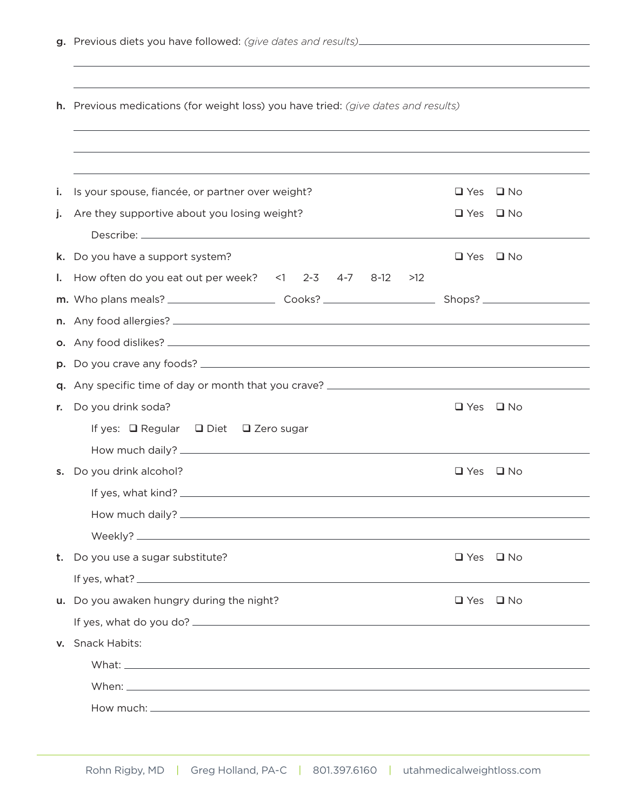|    | <b>h.</b> Previous medications (for weight loss) you have tried: (give dates and results)                                                                                                                                            |                      |           |  |  |  |  |  |  |
|----|--------------------------------------------------------------------------------------------------------------------------------------------------------------------------------------------------------------------------------------|----------------------|-----------|--|--|--|--|--|--|
|    |                                                                                                                                                                                                                                      |                      |           |  |  |  |  |  |  |
| i. | Is your spouse, fiancée, or partner over weight?                                                                                                                                                                                     | $\Box$ Yes           | ⊔ No      |  |  |  |  |  |  |
| j. | Are they supportive about you losing weight?                                                                                                                                                                                         | $\Box$ Yes $\Box$ No |           |  |  |  |  |  |  |
| k. | Do you have a support system?                                                                                                                                                                                                        | $\Box$ Yes $\Box$ No |           |  |  |  |  |  |  |
| Ι. | How often do you eat out per week? $\leq$ 1 2-3 4-7 8-12<br>>12                                                                                                                                                                      |                      |           |  |  |  |  |  |  |
|    |                                                                                                                                                                                                                                      |                      |           |  |  |  |  |  |  |
|    |                                                                                                                                                                                                                                      |                      |           |  |  |  |  |  |  |
|    |                                                                                                                                                                                                                                      |                      |           |  |  |  |  |  |  |
|    |                                                                                                                                                                                                                                      |                      |           |  |  |  |  |  |  |
| a. |                                                                                                                                                                                                                                      |                      |           |  |  |  |  |  |  |
| r. | Do you drink soda?                                                                                                                                                                                                                   | $\Box$ Yes           | $\Box$ No |  |  |  |  |  |  |
|    | If yes: $\Box$ Regular $\Box$ Diet $\Box$ Zero sugar                                                                                                                                                                                 |                      |           |  |  |  |  |  |  |
|    |                                                                                                                                                                                                                                      |                      |           |  |  |  |  |  |  |
| s. | Do you drink alcohol?                                                                                                                                                                                                                | $\Box$ Yes $\Box$ No |           |  |  |  |  |  |  |
|    | If yes, what kind? ___________                                                                                                                                                                                                       |                      |           |  |  |  |  |  |  |
|    |                                                                                                                                                                                                                                      |                      |           |  |  |  |  |  |  |
|    |                                                                                                                                                                                                                                      |                      |           |  |  |  |  |  |  |
| t. | Do you use a sugar substitute?                                                                                                                                                                                                       | $\Box$ Yes $\Box$ No |           |  |  |  |  |  |  |
|    | If yes, what? $\frac{1}{2}$ is the set of the set of the set of the set of the set of the set of the set of the set of the set of the set of the set of the set of the set of the set of the set of the set of the set of the set    |                      |           |  |  |  |  |  |  |
| u. | Do you awaken hungry during the night?                                                                                                                                                                                               | $\Box$ Yes $\Box$ No |           |  |  |  |  |  |  |
|    |                                                                                                                                                                                                                                      |                      |           |  |  |  |  |  |  |
|    | v. Snack Habits:                                                                                                                                                                                                                     |                      |           |  |  |  |  |  |  |
|    |                                                                                                                                                                                                                                      |                      |           |  |  |  |  |  |  |
|    |                                                                                                                                                                                                                                      |                      |           |  |  |  |  |  |  |
|    | How much: <u>example and the second contract of the second contract of the second contract of the second contract of the second contract of the second contract of the second contract of the second contract of the second cont</u> |                      |           |  |  |  |  |  |  |